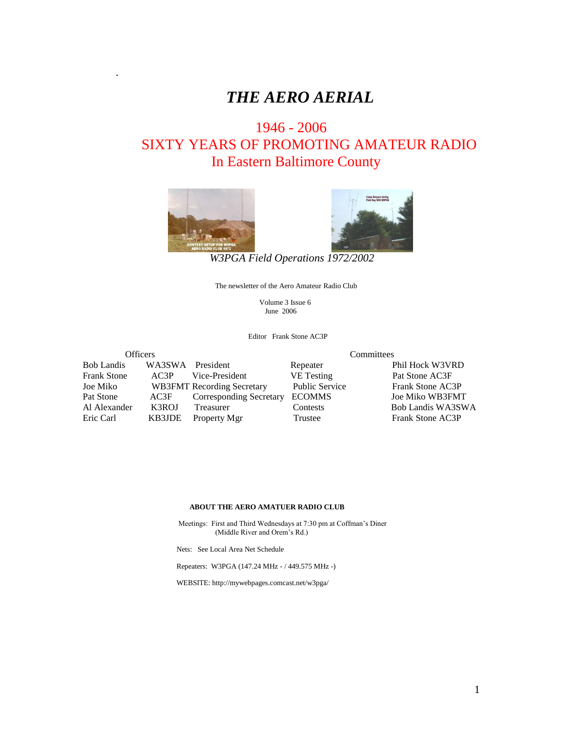# *THE AERO AERIAL*

# 1946 - 2006 SIXTY YEARS OF PROMOTING AMATEUR RADIO In Eastern Baltimore County



.



*W3PGA Field Operations 1972/2002*

The newsletter of the Aero Amateur Radio Club

 Volume 3 Issue 6 June 2006

Editor Frank Stone AC3P

| <b>Officers</b>    |                  | Committees                        |                       |                   |  |
|--------------------|------------------|-----------------------------------|-----------------------|-------------------|--|
| <b>Bob Landis</b>  | WA3SWA President |                                   | Repeater              | Phil Hock W3VRD   |  |
| <b>Frank Stone</b> | AC3P             | Vice-President                    | <b>VE</b> Testing     | Pat Stone AC3F    |  |
| Joe Miko           |                  | <b>WB3FMT</b> Recording Secretary | <b>Public Service</b> | Frank Stone AC3P  |  |
| Pat Stone          | AC3F             | Corresponding Secretary           | <b>ECOMMS</b>         | Joe Miko WB3FMT   |  |
| Al Alexander       | K3ROJ            | Treasurer                         | Contests              | Bob Landis WA3SWA |  |
| Eric Carl          | KB3JDE           | Property Mgr                      | Trustee               | Frank Stone AC3P  |  |

#### **ABOUT THE AERO AMATUER RADIO CLUB**

 Meetings: First and Third Wednesdays at 7:30 pm at Coffman's Diner (Middle River and Orem's Rd.)

Nets: See Local Area Net Schedule

Repeaters: W3PGA (147.24 MHz - / 449.575 MHz -)

WEBSITE: http://mywebpages.comcast.net/w3pga/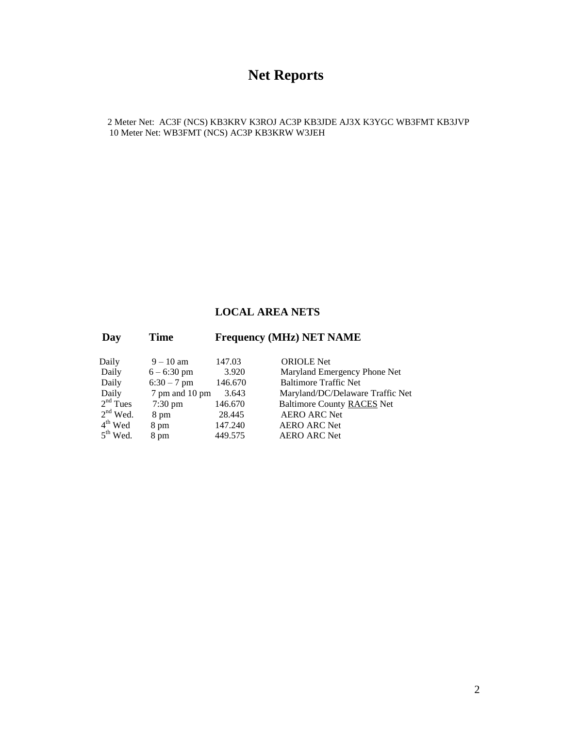# **Net Reports**

2 Meter Net: AC3F (NCS) KB3KRV K3ROJ AC3P KB3JDE AJ3X K3YGC WB3FMT KB3JVP 10 Meter Net: WB3FMT (NCS) AC3P KB3KRW W3JEH

#### **LOCAL AREA NETS**

| Day        | <b>Time</b>       | <b>Frequency (MHz) NET NAME</b> |                                   |  |  |
|------------|-------------------|---------------------------------|-----------------------------------|--|--|
| Daily      | $9 - 10$ am       | 147.03                          | <b>ORIOLE</b> Net                 |  |  |
| Daily      | $6 - 6:30$ pm     | 3.920                           | Maryland Emergency Phone Net      |  |  |
| Daily      | $6:30 - 7$ pm     | 146.670                         | <b>Baltimore Traffic Net</b>      |  |  |
| Daily      | 7 pm and 10 pm    | 3.643                           | Maryland/DC/Delaware Traffic Net  |  |  |
| $2nd$ Tues | $7:30 \text{ pm}$ | 146.670                         | <b>Baltimore County RACES Net</b> |  |  |
| $2nd$ Wed. | 8 pm              | 28.445                          | <b>AERO ARC Net</b>               |  |  |
| $4th$ Wed  | 8 pm              | 147.240                         | <b>AERO ARC Net</b>               |  |  |
| $5th$ Wed. | 8 pm              | 449.575                         | <b>AERO ARC Net</b>               |  |  |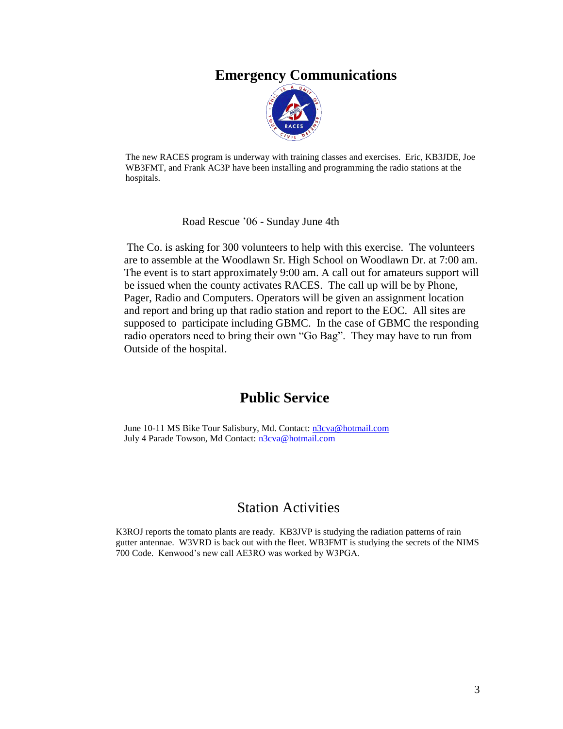### **Emergency Communications**



The new RACES program is underway with training classes and exercises. Eric, KB3JDE, Joe WB3FMT, and Frank AC3P have been installing and programming the radio stations at the hospitals.

Road Rescue '06 - Sunday June 4th

 The Co. is asking for 300 volunteers to help with this exercise. The volunteers are to assemble at the Woodlawn Sr. High School on Woodlawn Dr. at 7:00 am. The event is to start approximately 9:00 am. A call out for amateurs support will be issued when the county activates RACES. The call up will be by Phone, Pager, Radio and Computers. Operators will be given an assignment location and report and bring up that radio station and report to the EOC. All sites are supposed to participate including GBMC. In the case of GBMC the responding radio operators need to bring their own "Go Bag". They may have to run from Outside of the hospital.

#### **Public Service**

June 10-11 MS Bike Tour Salisbury, Md. Contact: [n3cva@hotmail.com](mailto:n3cva@hotmail.com) July 4 Parade Towson, Md Contact: [n3cva@hotmail.com](mailto:n3cva@hotmail.com)

### Station Activities

K3ROJ reports the tomato plants are ready. KB3JVP is studying the radiation patterns of rain gutter antennae. W3VRD is back out with the fleet. WB3FMT is studying the secrets of the NIMS 700 Code. Kenwood's new call AE3RO was worked by W3PGA.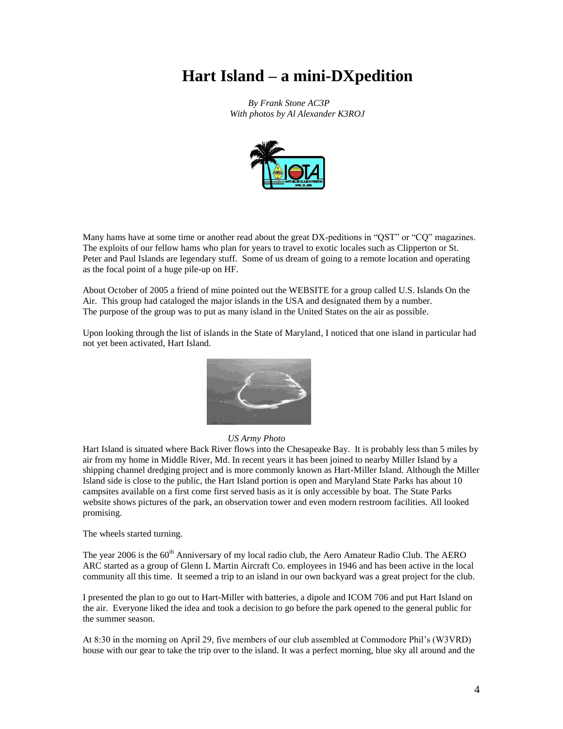# **Hart Island – a mini-DXpedition**

*By Frank Stone AC3P With photos by Al Alexander K3ROJ*



Many hams have at some time or another read about the great DX-peditions in "QST" or "CQ" magazines. The exploits of our fellow hams who plan for years to travel to exotic locales such as Clipperton or St. Peter and Paul Islands are legendary stuff. Some of us dream of going to a remote location and operating as the focal point of a huge pile-up on HF.

About October of 2005 a friend of mine pointed out the WEBSITE for a group called U.S. Islands On the Air. This group had cataloged the major islands in the USA and designated them by a number. The purpose of the group was to put as many island in the United States on the air as possible.

Upon looking through the list of islands in the State of Maryland, I noticed that one island in particular had not yet been activated, Hart Island.



#### *US Army Photo*

Hart Island is situated where Back River flows into the Chesapeake Bay. It is probably less than 5 miles by air from my home in Middle River, Md. In recent years it has been joined to nearby Miller Island by a shipping channel dredging project and is more commonly known as Hart-Miller Island. Although the Miller Island side is close to the public, the Hart Island portion is open and Maryland State Parks has about 10 campsites available on a first come first served basis as it is only accessible by boat. The State Parks website shows pictures of the park, an observation tower and even modern restroom facilities. All looked promising.

The wheels started turning.

The year 2006 is the 60<sup>th</sup> Anniversary of my local radio club, the Aero Amateur Radio Club. The AERO ARC started as a group of Glenn L Martin Aircraft Co. employees in 1946 and has been active in the local community all this time. It seemed a trip to an island in our own backyard was a great project for the club.

I presented the plan to go out to Hart-Miller with batteries, a dipole and ICOM 706 and put Hart Island on the air. Everyone liked the idea and took a decision to go before the park opened to the general public for the summer season.

At 8:30 in the morning on April 29, five members of our club assembled at Commodore Phil's (W3VRD) house with our gear to take the trip over to the island. It was a perfect morning, blue sky all around and the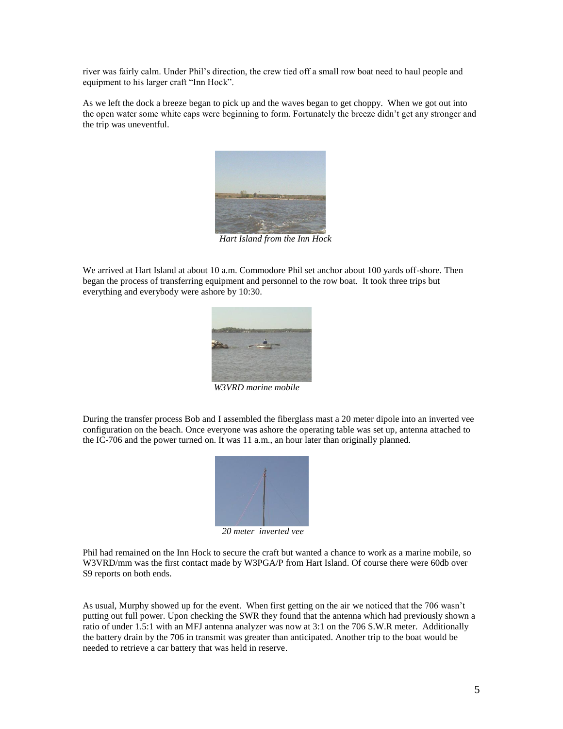river was fairly calm. Under Phil's direction, the crew tied off a small row boat need to haul people and equipment to his larger craft "Inn Hock".

As we left the dock a breeze began to pick up and the waves began to get choppy. When we got out into the open water some white caps were beginning to form. Fortunately the breeze didn't get any stronger and the trip was uneventful.



 *Hart Island from the Inn Hock*

We arrived at Hart Island at about 10 a.m. Commodore Phil set anchor about 100 yards off-shore. Then began the process of transferring equipment and personnel to the row boat. It took three trips but everything and everybody were ashore by 10:30.



*W3VRD marine mobile*

During the transfer process Bob and I assembled the fiberglass mast a 20 meter dipole into an inverted vee configuration on the beach. Once everyone was ashore the operating table was set up, antenna attached to the IC-706 and the power turned on. It was 11 a.m., an hour later than originally planned.



 *20 meter inverted vee*

Phil had remained on the Inn Hock to secure the craft but wanted a chance to work as a marine mobile, so W3VRD/mm was the first contact made by W3PGA/P from Hart Island. Of course there were 60db over S9 reports on both ends.

As usual, Murphy showed up for the event. When first getting on the air we noticed that the 706 wasn't putting out full power. Upon checking the SWR they found that the antenna which had previously shown a ratio of under 1.5:1 with an MFJ antenna analyzer was now at 3:1 on the 706 S.W.R meter. Additionally the battery drain by the 706 in transmit was greater than anticipated. Another trip to the boat would be needed to retrieve a car battery that was held in reserve.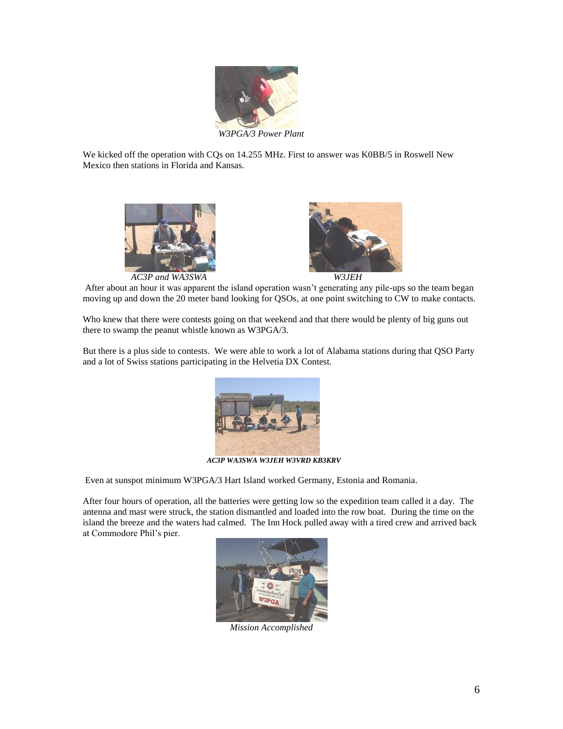

We kicked off the operation with CQs on 14.255 MHz. First to answer was K0BB/5 in Roswell New Mexico then stations in Florida and Kansas.



*AC3P and WA3SWA W3JEH*



After about an hour it was apparent the island operation wasn't generating any pile-ups so the team began moving up and down the 20 meter band looking for QSOs, at one point switching to CW to make contacts.

Who knew that there were contests going on that weekend and that there would be plenty of big guns out there to swamp the peanut whistle known as W3PGA/3.

But there is a plus side to contests. We were able to work a lot of Alabama stations during that QSO Party and a lot of Swiss stations participating in the Helvetia DX Contest.



*AC3P WA3SWA W3JEH W3VRD KB3KRV* 

Even at sunspot minimum W3PGA/3 Hart Island worked Germany, Estonia and Romania.

After four hours of operation, all the batteries were getting low so the expedition team called it a day. The antenna and mast were struck, the station dismantled and loaded into the row boat. During the time on the island the breeze and the waters had calmed. The Inn Hock pulled away with a tired crew and arrived back at Commodore Phil's pier.



*Mission Accomplished*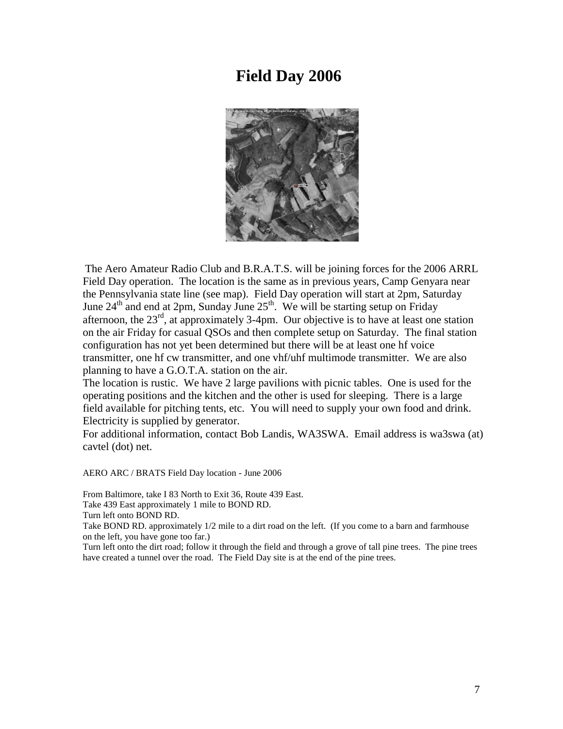## **Field Day 2006**



The Aero Amateur Radio Club and B.R.A.T.S. will be joining forces for the 2006 ARRL Field Day operation. The location is the same as in previous years, Camp Genyara near the Pennsylvania state line (see map). Field Day operation will start at 2pm, Saturday June  $24<sup>th</sup>$  and end at 2pm, Sunday June  $25<sup>th</sup>$ . We will be starting setup on Friday afternoon, the  $23<sup>rd</sup>$ , at approximately 3-4pm. Our objective is to have at least one station on the air Friday for casual QSOs and then complete setup on Saturday. The final station configuration has not yet been determined but there will be at least one hf voice transmitter, one hf cw transmitter, and one vhf/uhf multimode transmitter. We are also planning to have a G.O.T.A. station on the air.

The location is rustic. We have 2 large pavilions with picnic tables. One is used for the operating positions and the kitchen and the other is used for sleeping. There is a large field available for pitching tents, etc. You will need to supply your own food and drink. Electricity is supplied by generator.

For additional information, contact Bob Landis, WA3SWA. Email address is wa3swa (at) cavtel (dot) net.

AERO ARC / BRATS Field Day location - June 2006

From Baltimore, take I 83 North to Exit 36, Route 439 East.

Take 439 East approximately 1 mile to BOND RD.

Turn left onto BOND RD.

Take BOND RD. approximately  $1/2$  mile to a dirt road on the left. (If you come to a barn and farmhouse on the left, you have gone too far.)

Turn left onto the dirt road; follow it through the field and through a grove of tall pine trees. The pine trees have created a tunnel over the road. The Field Day site is at the end of the pine trees.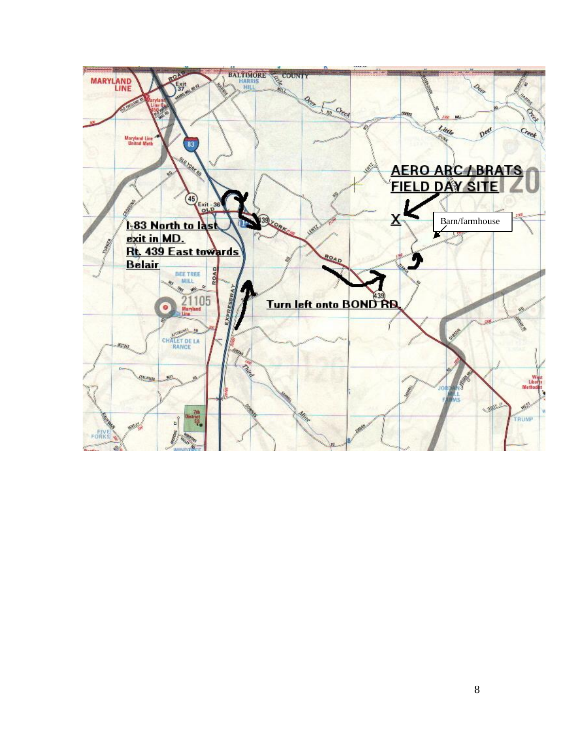